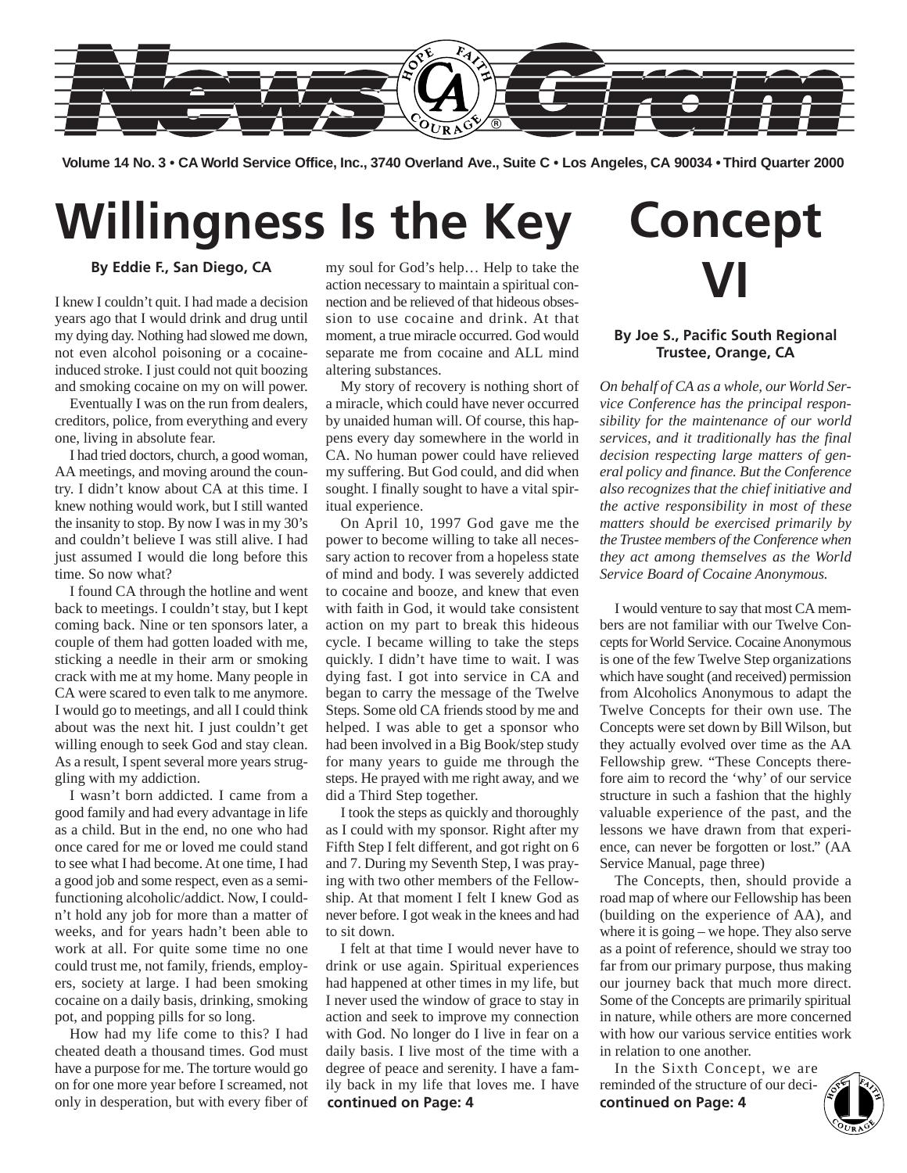

**Volume 14 No. 3 • CA World Service Office, Inc., 3740 Overland Ave., Suite C • Los Angeles, CA 90034 • Third Quarter 2000**

# **Willingness Is the Key**

**By Eddie F., San Diego, CA**

I knew I couldn't quit. I had made a decision years ago that I would drink and drug until my dying day. Nothing had slowed me down, not even alcohol poisoning or a cocaineinduced stroke. I just could not quit boozing and smoking cocaine on my on will power.

Eventually I was on the run from dealers, creditors, police, from everything and every one, living in absolute fear.

I had tried doctors, church, a good woman, AA meetings, and moving around the country. I didn't know about CA at this time. I knew nothing would work, but I still wanted the insanity to stop. By now I was in my 30's and couldn't believe I was still alive. I had just assumed I would die long before this time. So now what?

I found CA through the hotline and went back to meetings. I couldn't stay, but I kept coming back. Nine or ten sponsors later, a couple of them had gotten loaded with me, sticking a needle in their arm or smoking crack with me at my home. Many people in CA were scared to even talk to me anymore. I would go to meetings, and all I could think about was the next hit. I just couldn't get willing enough to seek God and stay clean. As a result, I spent several more years struggling with my addiction.

I wasn't born addicted. I came from a good family and had every advantage in life as a child. But in the end, no one who had once cared for me or loved me could stand to see what I had become. At one time, I had a good job and some respect, even as a semifunctioning alcoholic/addict. Now, I couldn't hold any job for more than a matter of weeks, and for years hadn't been able to work at all. For quite some time no one could trust me, not family, friends, employers, society at large. I had been smoking cocaine on a daily basis, drinking, smoking pot, and popping pills for so long.

How had my life come to this? I had cheated death a thousand times. God must have a purpose for me. The torture would go on for one more year before I screamed, not only in desperation, but with every fiber of my soul for God's help… Help to take the action necessary to maintain a spiritual connection and be relieved of that hideous obsession to use cocaine and drink. At that moment, a true miracle occurred. God would separate me from cocaine and ALL mind altering substances.

My story of recovery is nothing short of a miracle, which could have never occurred by unaided human will. Of course, this happens every day somewhere in the world in CA. No human power could have relieved my suffering. But God could, and did when sought. I finally sought to have a vital spiritual experience.

On April 10, 1997 God gave me the power to become willing to take all necessary action to recover from a hopeless state of mind and body. I was severely addicted to cocaine and booze, and knew that even with faith in God, it would take consistent action on my part to break this hideous cycle. I became willing to take the steps quickly. I didn't have time to wait. I was dying fast. I got into service in CA and began to carry the message of the Twelve Steps. Some old CA friends stood by me and helped. I was able to get a sponsor who had been involved in a Big Book/step study for many years to guide me through the steps. He prayed with me right away, and we did a Third Step together.

I took the steps as quickly and thoroughly as I could with my sponsor. Right after my Fifth Step I felt different, and got right on 6 and 7. During my Seventh Step, I was praying with two other members of the Fellowship. At that moment I felt I knew God as never before. I got weak in the knees and had to sit down.

I felt at that time I would never have to drink or use again. Spiritual experiences had happened at other times in my life, but I never used the window of grace to stay in action and seek to improve my connection with God. No longer do I live in fear on a daily basis. I live most of the time with a degree of peace and serenity. I have a family back in my life that loves me. I have **continued on Page: 4**

# **Concept VI**

### **By Joe S., Pacific South Regional Trustee, Orange, CA**

*On behalf of CA as a whole, our World Service Conference has the principal responsibility for the maintenance of our world services, and it traditionally has the final decision respecting large matters of general policy and finance. But the Conference also recognizes that the chief initiative and the active responsibility in most of these matters should be exercised primarily by the Trustee members of the Conference when they act among themselves as the World Service Board of Cocaine Anonymous.*

I would venture to say that most CA members are not familiar with our Twelve Concepts for World Service. Cocaine Anonymous is one of the few Twelve Step organizations which have sought (and received) permission from Alcoholics Anonymous to adapt the Twelve Concepts for their own use. The Concepts were set down by Bill Wilson, but they actually evolved over time as the AA Fellowship grew. "These Concepts therefore aim to record the 'why' of our service structure in such a fashion that the highly valuable experience of the past, and the lessons we have drawn from that experience, can never be forgotten or lost." (AA Service Manual, page three)

The Concepts, then, should provide a road map of where our Fellowship has been (building on the experience of AA), and where it is going – we hope. They also serve as a point of reference, should we stray too far from our primary purpose, thus making our journey back that much more direct. Some of the Concepts are primarily spiritual in nature, while others are more concerned with how our various service entities work in relation to one another.

In the Sixth Concept, we are reminded of the structure of our deci**continued on Page: 4**

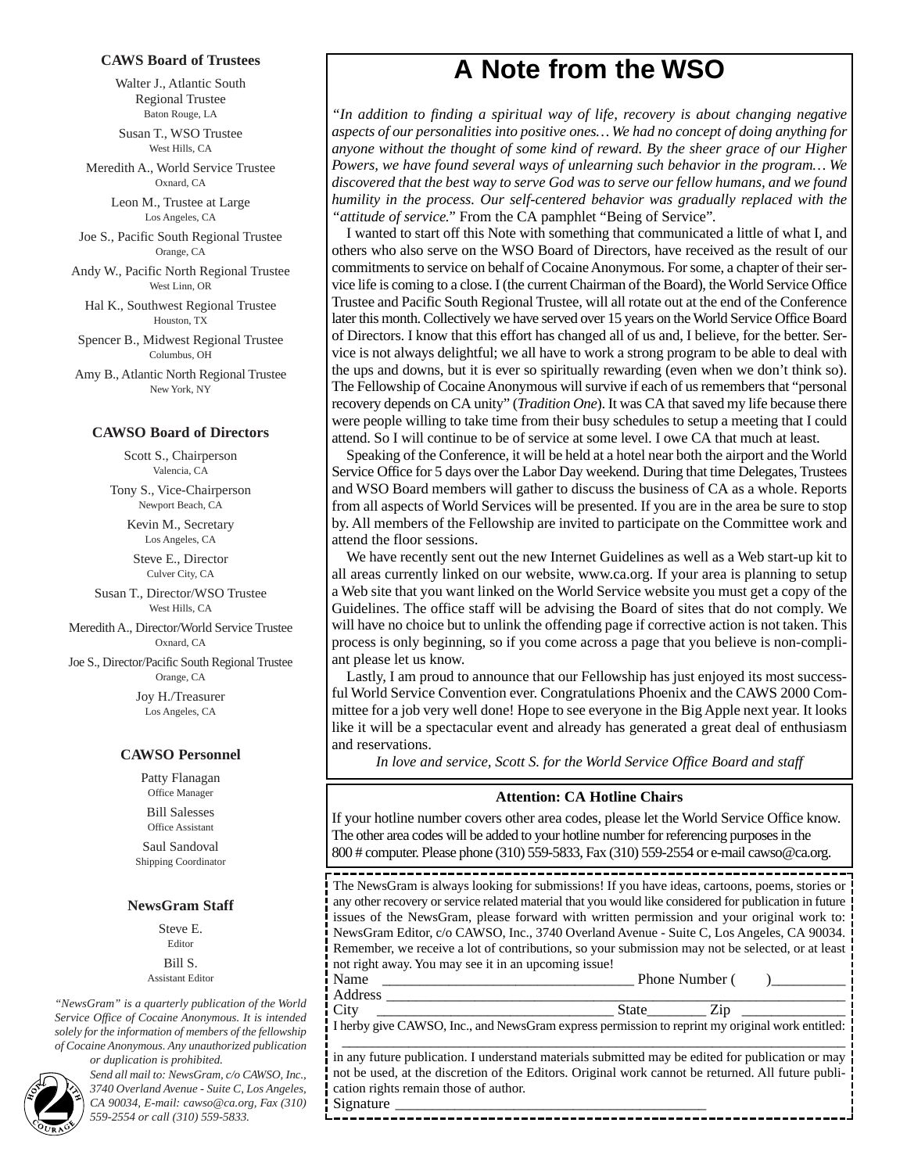#### **CAWS Board of Trustees**

Walter J., Atlantic South Regional Trustee Baton Rouge, LA

Susan T., WSO Trustee West Hills, CA

Meredith A., World Service Trustee Oxnard, CA

> Leon M., Trustee at Large Los Angeles, CA

Joe S., Pacific South Regional Trustee Orange, CA

Andy W., Pacific North Regional Trustee West Linn, OR

Hal K., Southwest Regional Trustee Houston, TX

Spencer B., Midwest Regional Trustee Columbus, OH

Amy B., Atlantic North Regional Trustee New York, NY

#### **CAWSO Board of Directors**

Scott S., Chairperson Valencia, CA

Tony S., Vice-Chairperson Newport Beach, CA

> Kevin M., Secretary Los Angeles, CA

Steve E., Director Culver City, CA

Susan T., Director/WSO Trustee West Hills, CA

Meredith A., Director/World Service Trustee Oxnard, CA

Joe S., Director/Pacific South Regional Trustee Orange, CA

> Joy H./Treasurer Los Angeles, CA

#### **CAWSO Personnel**

Patty Flanagan Office Manager Bill Salesses

Office Assistant

Saul Sandoval Shipping Coordinator

#### **NewsGram Staff**

Steve E. Editor Bill S. Assistant Editor

*"NewsGram" is a quarterly publication of the World Service Office of Cocaine Anonymous. It is intended solely for the information of members of the fellowship of Cocaine Anonymous. Any unauthorized publication or duplication is prohibited.*



**Send all mail to: NewsGram, c/o CAWSO, Inc.,**<br>
<sup>2740</sup> Overland Avenue - Suite C, Los Angeles,<br> *CA 90034, E-mail: cawso@ca.org, Fax (310)*<br>
559-2554 or call (310) 559-5833. *3740 Overland Avenue - Suite C, Los Angeles,*

### **A Note from the WSO**

*"In addition to finding a spiritual way of life, recovery is about changing negative aspects of our personalities into positive ones… We had no concept of doing anything for anyone without the thought of some kind of reward. By the sheer grace of our Higher Powers, we have found several ways of unlearning such behavior in the program… We discovered that the best way to serve God was to serve our fellow humans, and we found humility in the process. Our self-centered behavior was gradually replaced with the "attitude of service."* From the CA pamphlet "Being of Service"*.*

I wanted to start off this Note with something that communicated a little of what I, and others who also serve on the WSO Board of Directors, have received as the result of our commitments to service on behalf of Cocaine Anonymous. For some, a chapter of their service life is coming to a close. I (the current Chairman of the Board), the World Service Office Trustee and Pacific South Regional Trustee, will all rotate out at the end of the Conference later this month. Collectively we have served over 15 years on the World Service Office Board of Directors. I know that this effort has changed all of us and, I believe, for the better. Service is not always delightful; we all have to work a strong program to be able to deal with the ups and downs, but it is ever so spiritually rewarding (even when we don't think so). The Fellowship of Cocaine Anonymous will survive if each of us remembers that "personal recovery depends on CA unity" (*Tradition One*). It was CA that saved my life because there were people willing to take time from their busy schedules to setup a meeting that I could attend. So I will continue to be of service at some level. I owe CA that much at least.

Speaking of the Conference, it will be held at a hotel near both the airport and the World Service Office for 5 days over the Labor Day weekend. During that time Delegates, Trustees and WSO Board members will gather to discuss the business of CA as a whole. Reports from all aspects of World Services will be presented. If you are in the area be sure to stop by. All members of the Fellowship are invited to participate on the Committee work and attend the floor sessions.

We have recently sent out the new Internet Guidelines as well as a Web start-up kit to all areas currently linked on our website, www.ca.org. If your area is planning to setup a Web site that you want linked on the World Service website you must get a copy of the Guidelines. The office staff will be advising the Board of sites that do not comply. We will have no choice but to unlink the offending page if corrective action is not taken. This process is only beginning, so if you come across a page that you believe is non-compliant please let us know.

Lastly, I am proud to announce that our Fellowship has just enjoyed its most successful World Service Convention ever. Congratulations Phoenix and the CAWS 2000 Committee for a job very well done! Hope to see everyone in the Big Apple next year. It looks like it will be a spectacular event and already has generated a great deal of enthusiasm and reservations.

*In love and service, Scott S. for the World Service Office Board and staff*

#### **Attention: CA Hotline Chairs**

If your hotline number covers other area codes, please let the World Service Office know. The other area codes will be added to your hotline number for referencing purposes in the 800 # computer. Please phone (310) 559-5833, Fax (310) 559-2554 or e-mail cawso@ca.org.

The NewsGram is always looking for submissions! If you have ideas, cartoons, poems, stories or any other recovery or service related material that you would like considered for publication in future issues of the NewsGram, please forward with written permission and your original work to: NewsGram Editor, c/o CAWSO, Inc., 3740 Overland Avenue - Suite C, Los Angeles, CA 90034. Remember, we receive a lot of contributions, so your submission may not be selected, or at least not right away. You may see it in an upcoming issue!

Name \_\_\_\_\_\_\_\_\_\_\_\_\_\_\_\_\_\_\_\_\_\_\_\_\_\_\_\_\_\_\_\_\_\_ Phone Number ( )\_\_\_\_\_\_\_\_\_\_ Address \_\_\_\_\_\_\_\_\_\_\_\_\_\_\_\_\_\_\_\_\_\_\_\_\_\_\_\_\_\_\_\_\_\_\_\_\_\_\_\_\_\_\_\_\_\_\_\_\_\_\_\_\_\_\_\_\_\_\_\_\_\_

City \_\_\_\_\_\_\_\_\_\_\_\_\_\_\_\_\_\_\_\_\_\_\_\_\_\_\_\_\_\_\_\_ State\_\_\_\_\_\_\_\_ Zip \_\_\_\_\_\_\_\_\_\_\_\_\_\_ I herby give CAWSO, Inc., and NewsGram express permission to reprint my original work entitled: \_\_\_\_\_\_\_\_\_\_\_\_\_\_\_\_\_\_\_\_\_\_\_\_\_\_\_\_\_\_\_\_\_\_\_\_\_\_\_\_\_\_\_\_\_\_\_\_\_\_\_\_\_\_\_\_\_\_\_\_\_\_\_\_\_\_\_\_

in any future publication. I understand materials submitted may be edited for publication or may not be used, at the discretion of the Editors. Original work cannot be returned. All future publication rights remain those of author. Signature

--------------------------------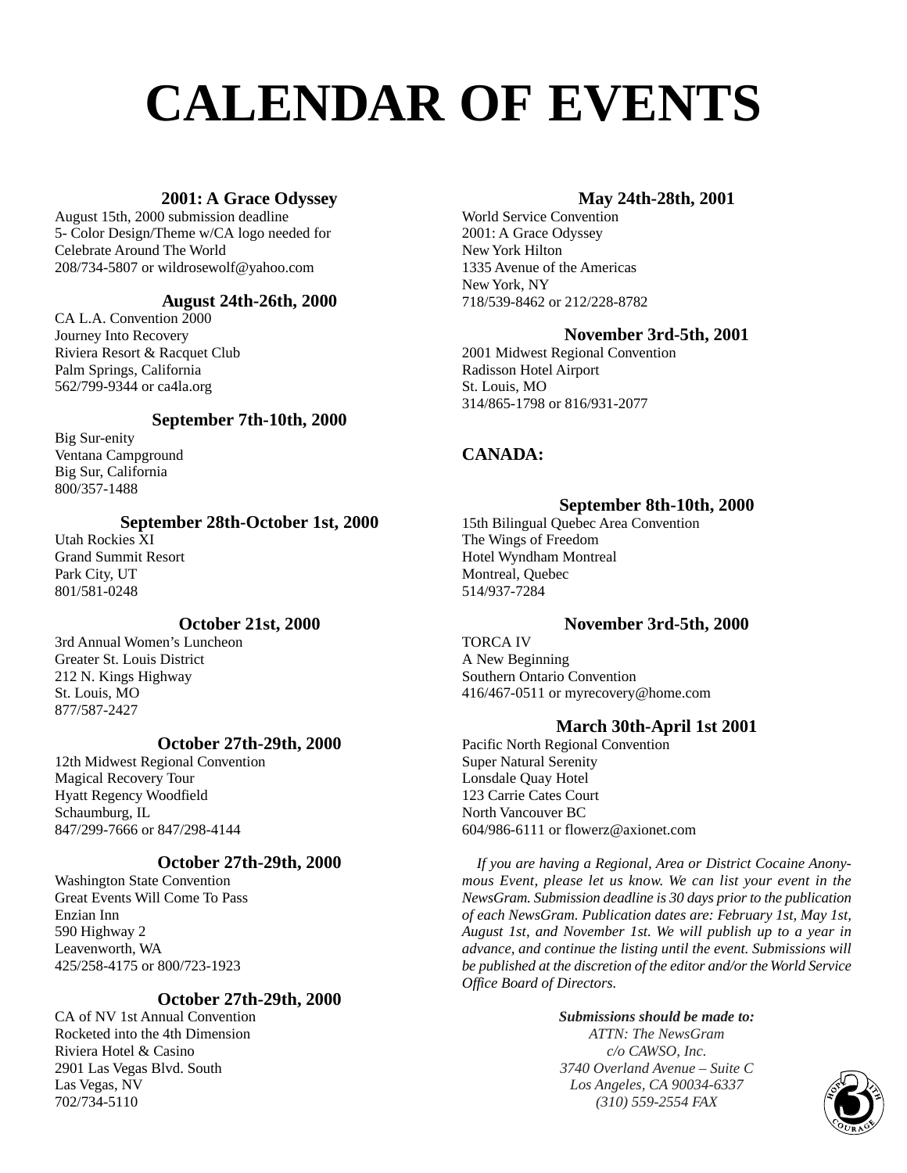# **CALENDAR OF EVENTS**

### **2001: A Grace Odyssey**

August 15th, 2000 submission deadline 5- Color Design/Theme w/CA logo needed for Celebrate Around The World 208/734-5807 or wildrosewolf@yahoo.com

### **August 24th-26th, 2000**

CA L.A. Convention 2000 Journey Into Recovery Riviera Resort & Racquet Club Palm Springs, California 562/799-9344 or ca4la.org

### **September 7th-10th, 2000**

Big Sur-enity Ventana Campground Big Sur, California 800/357-1488

### **September 28th-October 1st, 2000**

Utah Rockies XI Grand Summit Resort Park City, UT 801/581-0248

### **October 21st, 2000**

3rd Annual Women's Luncheon Greater St. Louis District 212 N. Kings Highway St. Louis, MO 877/587-2427

### **October 27th-29th, 2000**

12th Midwest Regional Convention Magical Recovery Tour Hyatt Regency Woodfield Schaumburg, IL 847/299-7666 or 847/298-4144

### **October 27th-29th, 2000**

Washington State Convention Great Events Will Come To Pass Enzian Inn 590 Highway 2 Leavenworth, WA 425/258-4175 or 800/723-1923

### **October 27th-29th, 2000**

CA of NV 1st Annual Convention Rocketed into the 4th Dimension Riviera Hotel & Casino 2901 Las Vegas Blvd. South Las Vegas, NV 702/734-5110

### **May 24th-28th, 2001**

World Service Convention 2001: A Grace Odyssey New York Hilton 1335 Avenue of the Americas New York, NY 718/539-8462 or 212/228-8782

### **November 3rd-5th, 2001**

2001 Midwest Regional Convention Radisson Hotel Airport St. Louis, MO 314/865-1798 or 816/931-2077

### **CANADA:**

### **September 8th-10th, 2000**

15th Bilingual Quebec Area Convention The Wings of Freedom Hotel Wyndham Montreal Montreal, Quebec 514/937-7284

### **November 3rd-5th, 2000**

TORCA IV A New Beginning Southern Ontario Convention 416/467-0511 or myrecovery@home.com

### **March 30th-April 1st 2001**

Pacific North Regional Convention Super Natural Serenity Lonsdale Quay Hotel 123 Carrie Cates Court North Vancouver BC 604/986-6111 or flowerz@axionet.com

*If you are having a Regional, Area or District Cocaine Anonymous Event, please let us know. We can list your event in the NewsGram. Submission deadline is 30 days prior to the publication of each NewsGram. Publication dates are: February 1st, May 1st, August 1st, and November 1st. We will publish up to a year in advance, and continue the listing until the event. Submissions will be published at the discretion of the editor and/or the World Service Office Board of Directors.*

### *Submissions should be made to: ATTN: The NewsGram c/o CAWSO, Inc. 3740 Overland Avenue – Suite C Los Angeles, CA 90034-6337 (310)* 559-2554 FAX *C*<br>
310) 559-2554 FAX **CONS**

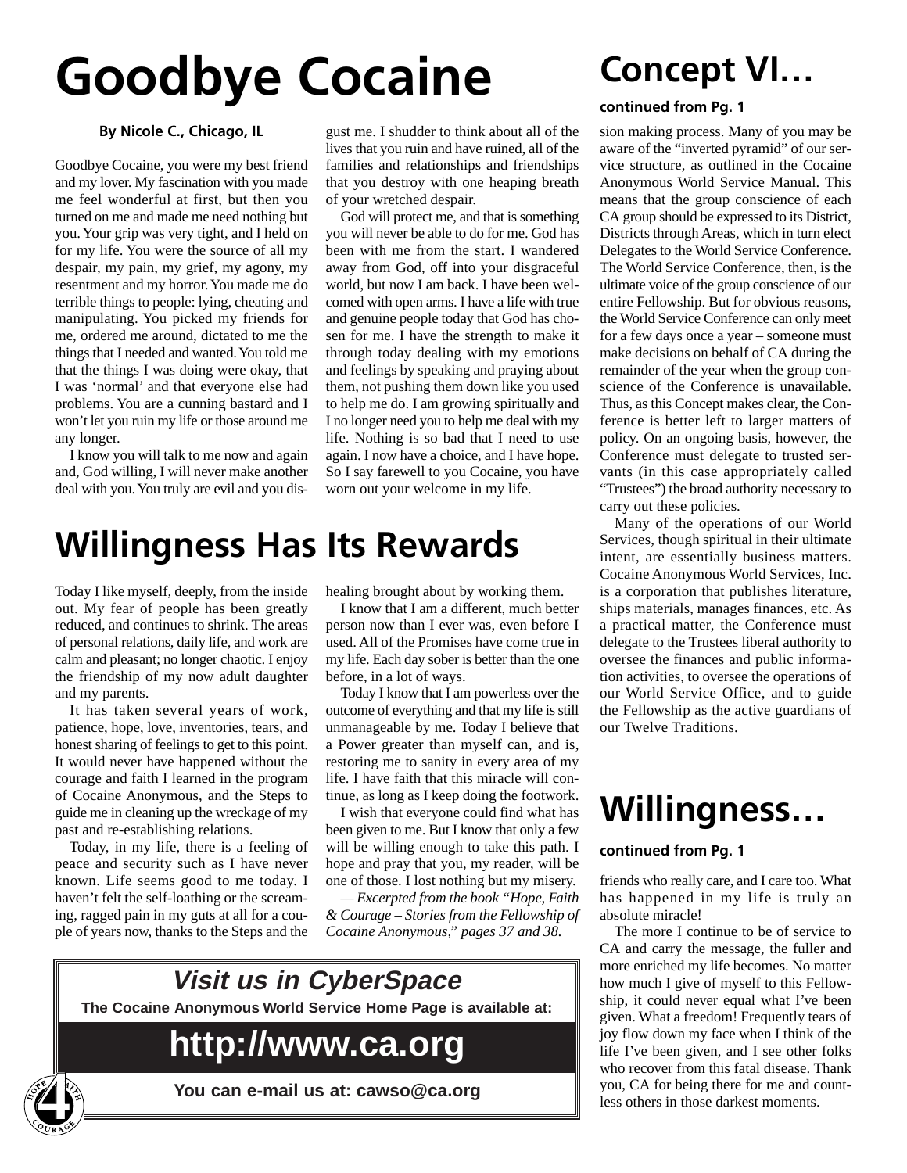# **Goodbye Cocaine**

## **Concept VI…**

### **By Nicole C., Chicago, IL**

Goodbye Cocaine, you were my best friend and my lover. My fascination with you made me feel wonderful at first, but then you turned on me and made me need nothing but you. Your grip was very tight, and I held on for my life. You were the source of all my despair, my pain, my grief, my agony, my resentment and my horror. You made me do terrible things to people: lying, cheating and manipulating. You picked my friends for me, ordered me around, dictated to me the things that I needed and wanted. You told me that the things I was doing were okay, that I was 'normal' and that everyone else had problems. You are a cunning bastard and I won't let you ruin my life or those around me any longer.

I know you will talk to me now and again and, God willing, I will never make another deal with you. You truly are evil and you dis-

gust me. I shudder to think about all of the lives that you ruin and have ruined, all of the families and relationships and friendships that you destroy with one heaping breath of your wretched despair.

God will protect me, and that is something you will never be able to do for me. God has been with me from the start. I wandered away from God, off into your disgraceful world, but now I am back. I have been welcomed with open arms. I have a life with true and genuine people today that God has chosen for me. I have the strength to make it through today dealing with my emotions and feelings by speaking and praying about them, not pushing them down like you used to help me do. I am growing spiritually and I no longer need you to help me deal with my life. Nothing is so bad that I need to use again. I now have a choice, and I have hope. So I say farewell to you Cocaine, you have worn out your welcome in my life.

### **Willingness Has Its Rewards**

Today I like myself, deeply, from the inside out. My fear of people has been greatly reduced, and continues to shrink. The areas of personal relations, daily life, and work are calm and pleasant; no longer chaotic. I enjoy the friendship of my now adult daughter and my parents.

It has taken several years of work, patience, hope, love, inventories, tears, and honest sharing of feelings to get to this point. It would never have happened without the courage and faith I learned in the program of Cocaine Anonymous, and the Steps to guide me in cleaning up the wreckage of my past and re-establishing relations.

Today, in my life, there is a feeling of peace and security such as I have never known. Life seems good to me today. I haven't felt the self-loathing or the screaming, ragged pain in my guts at all for a couple of years now, thanks to the Steps and the

healing brought about by working them.

I know that I am a different, much better person now than I ever was, even before I used. All of the Promises have come true in my life. Each day sober is better than the one before, in a lot of ways.

Today I know that I am powerless over the outcome of everything and that my life is still unmanageable by me. Today I believe that a Power greater than myself can, and is, restoring me to sanity in every area of my life. I have faith that this miracle will continue, as long as I keep doing the footwork.

I wish that everyone could find what has been given to me. But I know that only a few will be willing enough to take this path. I hope and pray that you, my reader, will be one of those. I lost nothing but my misery.

*— Excerpted from the book "Hope, Faith & Courage – Stories from the Fellowship of Cocaine Anonymous," pages 37 and 38.*



**You can e-mail us at: cawso@ca.org**

### **continued from Pg. 1**

sion making process. Many of you may be aware of the "inverted pyramid" of our service structure, as outlined in the Cocaine Anonymous World Service Manual. This means that the group conscience of each CA group should be expressed to its District, Districts through Areas, which in turn elect Delegates to the World Service Conference. The World Service Conference, then, is the ultimate voice of the group conscience of our entire Fellowship. But for obvious reasons, the World Service Conference can only meet for a few days once a year – someone must make decisions on behalf of CA during the remainder of the year when the group conscience of the Conference is unavailable. Thus, as this Concept makes clear, the Conference is better left to larger matters of policy. On an ongoing basis, however, the Conference must delegate to trusted servants (in this case appropriately called "Trustees") the broad authority necessary to carry out these policies.

Many of the operations of our World Services, though spiritual in their ultimate intent, are essentially business matters. Cocaine Anonymous World Services, Inc. is a corporation that publishes literature, ships materials, manages finances, etc. As a practical matter, the Conference must delegate to the Trustees liberal authority to oversee the finances and public information activities, to oversee the operations of our World Service Office, and to guide the Fellowship as the active guardians of our Twelve Traditions.

### **Willingness…**

### **continued from Pg. 1**

friends who really care, and I care too. What has happened in my life is truly an absolute miracle!

The more I continue to be of service to CA and carry the message, the fuller and more enriched my life becomes. No matter how much I give of myself to this Fellowship, it could never equal what I've been given. What a freedom! Frequently tears of joy flow down my face when I think of the life I've been given, and I see other folks who recover from this fatal disease. Thank you, CA for being there for me and countless others in those darkest moments.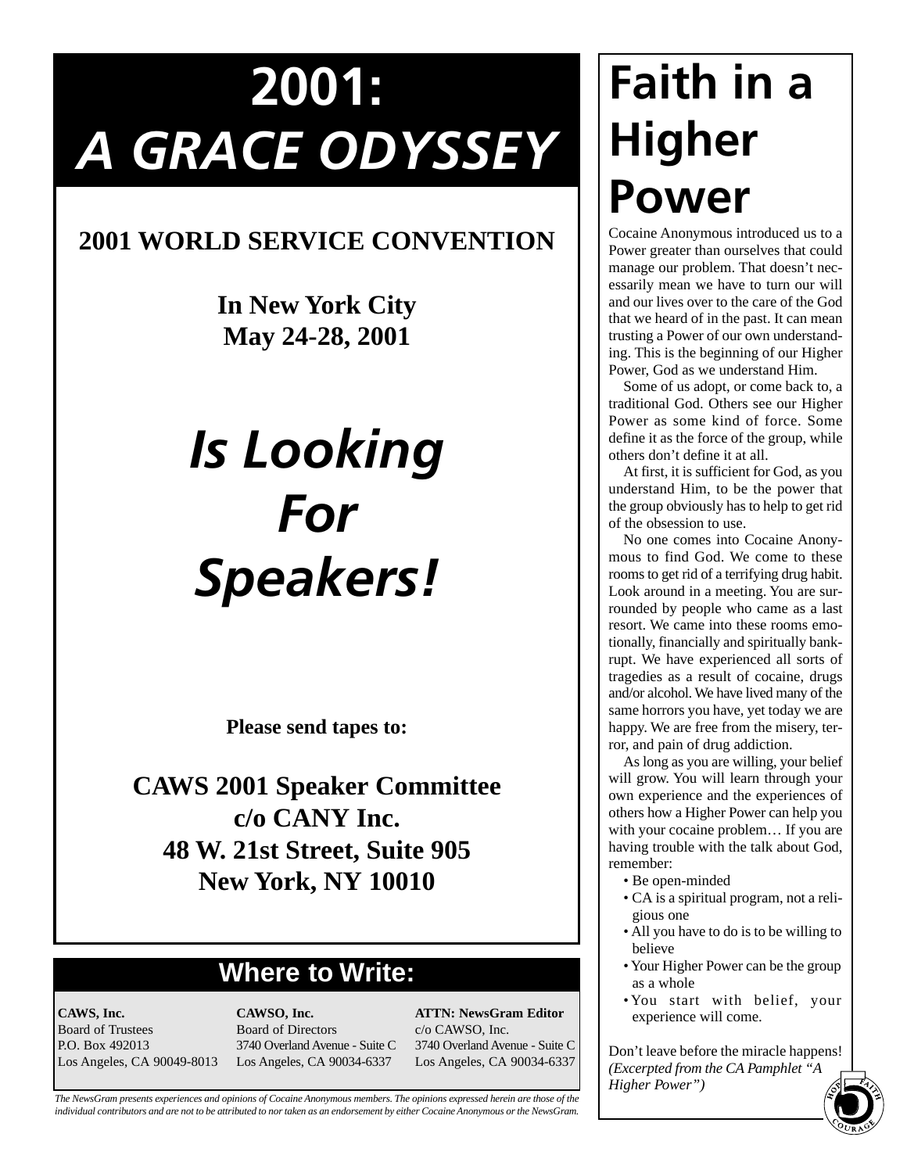# **2001:** *A GRACE ODYSSEY*

### **2001 WORLD SERVICE CONVENTION**

**In New York City May 24-28, 2001**

# *Is Looking For Speakers!*

**Please send tapes to:**

**CAWS 2001 Speaker Committee c/o CANY Inc. 48 W. 21st Street, Suite 905 New York, NY 10010**

### **Where to Write:**

**CAWS, Inc.** Board of Trustees P.O. Box 492013 Los Angeles, CA 90049-8013

**CAWSO, Inc.** Board of Directors 3740 Overland Avenue - Suite C Los Angeles, CA 90034-6337

**ATTN: NewsGram Editor** c/o CAWSO, Inc. 3740 Overland Avenue - Suite C Los Angeles, CA 90034-6337

*The NewsGram presents experiences and opinions of Cocaine Anonymous members. The opinions expressed herein are those of the individual contributors and are not to be attributed to nor taken as an endorsement by either Cocaine Anonymous or the NewsGram.*

# **Faith in a Higher Power**

Cocaine Anonymous introduced us to a Power greater than ourselves that could manage our problem. That doesn't necessarily mean we have to turn our will and our lives over to the care of the God that we heard of in the past. It can mean trusting a Power of our own understanding. This is the beginning of our Higher Power, God as we understand Him.

Some of us adopt, or come back to, a traditional God. Others see our Higher Power as some kind of force. Some define it as the force of the group, while others don't define it at all.

At first, it is sufficient for God, as you understand Him, to be the power that the group obviously has to help to get rid of the obsession to use.

No one comes into Cocaine Anonymous to find God. We come to these rooms to get rid of a terrifying drug habit. Look around in a meeting. You are surrounded by people who came as a last resort. We came into these rooms emotionally, financially and spiritually bankrupt. We have experienced all sorts of tragedies as a result of cocaine, drugs and/or alcohol. We have lived many of the same horrors you have, yet today we are happy. We are free from the misery, terror, and pain of drug addiction.

As long as you are willing, your belief will grow. You will learn through your own experience and the experiences of others how a Higher Power can help you with your cocaine problem… If you are having trouble with the talk about God, remember:

- Be open-minded
- CA is a spiritual program, not a religious one
- All you have to do is to be willing to believe
- Your Higher Power can be the group as a whole
- You start with belief, your experience will come.

Don't leave before the miracle happens! *(Excerpted from the CA Pamphlet "A*<br> *Higher Power")* **5**<br> **1997** 

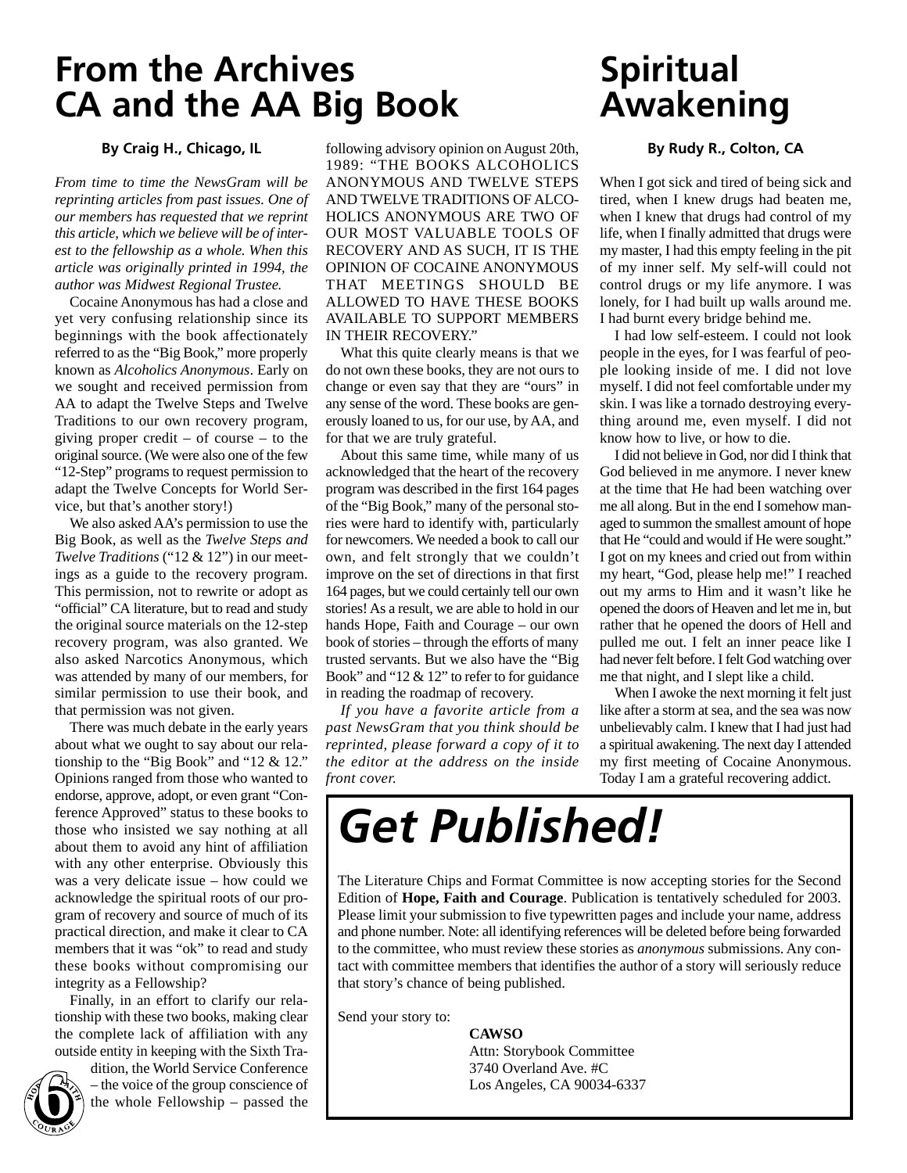### **From the Archives CA and the AA Big Book**

### **By Craig H., Chicago, IL**

*From time to time the NewsGram will be reprinting articles from past issues. One of our members has requested that we reprint this article, which we believe will be of interest to the fellowship as a whole. When this article was originally printed in 1994, the author was Midwest Regional Trustee.* 

Cocaine Anonymous has had a close and yet very confusing relationship since its beginnings with the book affectionately referred to as the "Big Book," more properly known as *Alcoholics Anonymous*. Early on we sought and received permission from AA to adapt the Twelve Steps and Twelve Traditions to our own recovery program, giving proper credit – of course – to the original source. (We were also one of the few "12-Step" programs to request permission to adapt the Twelve Concepts for World Service, but that's another story!)

We also asked AA's permission to use the Big Book, as well as the *Twelve Steps and Twelve Traditions* ("12 & 12") in our meetings as a guide to the recovery program. This permission, not to rewrite or adopt as "official" CA literature, but to read and study the original source materials on the 12-step recovery program, was also granted. We also asked Narcotics Anonymous, which was attended by many of our members, for similar permission to use their book, and that permission was not given.

There was much debate in the early years about what we ought to say about our relationship to the "Big Book" and "12 & 12." Opinions ranged from those who wanted to endorse, approve, adopt, or even grant "Conference Approved" status to these books to those who insisted we say nothing at all about them to avoid any hint of affiliation with any other enterprise. Obviously this was a very delicate issue – how could we acknowledge the spiritual roots of our program of recovery and source of much of its practical direction, and make it clear to CA members that it was "ok" to read and study these books without compromising our integrity as a Fellowship?

Finally, in an effort to clarify our relationship with these two books, making clear the complete lack of affiliation with any outside entity in keeping with the Sixth Tra-

**6** 

dition, the World Service Conference – the voice of the group conscience of the whole Fellowship – passed the

following advisory opinion on August 20th, 1989: "THE BOOKS ALCOHOLICS ANONYMOUS AND TWELVE STEPS AND TWELVE TRADITIONS OF ALCO-HOLICS ANONYMOUS ARE TWO OF OUR MOST VALUABLE TOOLS OF RECOVERY AND AS SUCH, IT IS THE OPINION OF COCAINE ANONYMOUS THAT MEETINGS SHOULD BE ALLOWED TO HAVE THESE BOOKS AVAILABLE TO SUPPORT MEMBERS IN THEIR RECOVERY."

What this quite clearly means is that we do not own these books, they are not ours to change or even say that they are "ours" in any sense of the word. These books are generously loaned to us, for our use, by AA, and for that we are truly grateful.

About this same time, while many of us acknowledged that the heart of the recovery program was described in the first 164 pages of the "Big Book," many of the personal stories were hard to identify with, particularly for newcomers. We needed a book to call our own, and felt strongly that we couldn't improve on the set of directions in that first 164 pages, but we could certainly tell our own stories! As a result, we are able to hold in our hands Hope, Faith and Courage – our own book of stories – through the efforts of many trusted servants. But we also have the "Big Book" and "12 & 12" to refer to for guidance in reading the roadmap of recovery.

*If you have a favorite article from a past NewsGram that you think should be reprinted, please forward a copy of it to the editor at the address on the inside front cover.*

### **Spiritual Awakening**

### **By Rudy R., Colton, CA**

When I got sick and tired of being sick and tired, when I knew drugs had beaten me, when I knew that drugs had control of my life, when I finally admitted that drugs were my master, I had this empty feeling in the pit of my inner self. My self-will could not control drugs or my life anymore. I was lonely, for I had built up walls around me. I had burnt every bridge behind me.

I had low self-esteem. I could not look people in the eyes, for I was fearful of people looking inside of me. I did not love myself. I did not feel comfortable under my skin. I was like a tornado destroying everything around me, even myself. I did not know how to live, or how to die.

I did not believe in God, nor did I think that God believed in me anymore. I never knew at the time that He had been watching over me all along. But in the end I somehow managed to summon the smallest amount of hope that He "could and would if He were sought." I got on my knees and cried out from within my heart, "God, please help me!" I reached out my arms to Him and it wasn't like he opened the doors of Heaven and let me in, but rather that he opened the doors of Hell and pulled me out. I felt an inner peace like I had never felt before. I felt God watching over me that night, and I slept like a child.

When I awoke the next morning it felt just like after a storm at sea, and the sea was now unbelievably calm. I knew that I had just had a spiritual awakening. The next day I attended my first meeting of Cocaine Anonymous. Today I am a grateful recovering addict.

## *Get Published!*

The Literature Chips and Format Committee is now accepting stories for the Second Edition of **Hope, Faith and Courage**. Publication is tentatively scheduled for 2003. Please limit your submission to five typewritten pages and include your name, address and phone number. Note: all identifying references will be deleted before being forwarded to the committee, who must review these stories as *anonymous* submissions. Any contact with committee members that identifies the author of a story will seriously reduce that story's chance of being published.

Send your story to:

**CAWSO** Attn: Storybook Committee 3740 Overland Ave. #C Los Angeles, CA 90034-6337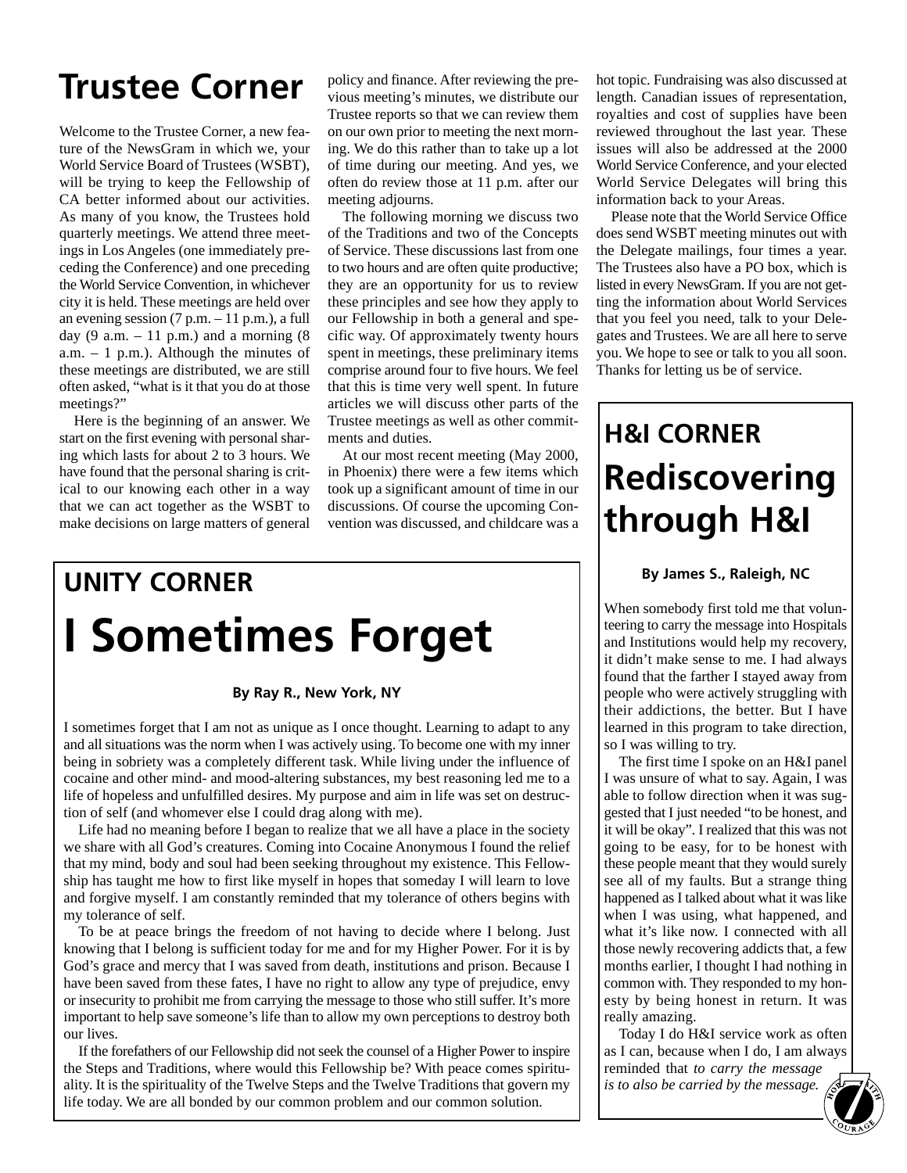## **Trustee Corner**

Welcome to the Trustee Corner, a new feature of the NewsGram in which we, your World Service Board of Trustees (WSBT), will be trying to keep the Fellowship of CA better informed about our activities. As many of you know, the Trustees hold quarterly meetings. We attend three meetings in Los Angeles (one immediately preceding the Conference) and one preceding the World Service Convention, in whichever city it is held. These meetings are held over an evening session  $(7 p.m. - 11 p.m.),$  a full day (9 a.m.  $-11$  p.m.) and a morning (8 a.m. – 1 p.m.). Although the minutes of these meetings are distributed, we are still often asked, "what is it that you do at those meetings?"

Here is the beginning of an answer. We start on the first evening with personal sharing which lasts for about 2 to 3 hours. We have found that the personal sharing is critical to our knowing each other in a way that we can act together as the WSBT to make decisions on large matters of general

policy and finance. After reviewing the previous meeting's minutes, we distribute our Trustee reports so that we can review them on our own prior to meeting the next morning. We do this rather than to take up a lot of time during our meeting. And yes, we often do review those at 11 p.m. after our meeting adjourns.

The following morning we discuss two of the Traditions and two of the Concepts of Service. These discussions last from one to two hours and are often quite productive; they are an opportunity for us to review these principles and see how they apply to our Fellowship in both a general and specific way. Of approximately twenty hours spent in meetings, these preliminary items comprise around four to five hours. We feel that this is time very well spent. In future articles we will discuss other parts of the Trustee meetings as well as other commitments and duties.

At our most recent meeting (May 2000, in Phoenix) there were a few items which took up a significant amount of time in our discussions. Of course the upcoming Convention was discussed, and childcare was a

## **UNITY CORNER I Sometimes Forget**

### **By Ray R., New York, NY**

I sometimes forget that I am not as unique as I once thought. Learning to adapt to any and all situations was the norm when I was actively using. To become one with my inner being in sobriety was a completely different task. While living under the influence of cocaine and other mind- and mood-altering substances, my best reasoning led me to a life of hopeless and unfulfilled desires. My purpose and aim in life was set on destruction of self (and whomever else I could drag along with me).

Life had no meaning before I began to realize that we all have a place in the society we share with all God's creatures. Coming into Cocaine Anonymous I found the relief that my mind, body and soul had been seeking throughout my existence. This Fellowship has taught me how to first like myself in hopes that someday I will learn to love and forgive myself. I am constantly reminded that my tolerance of others begins with my tolerance of self.

To be at peace brings the freedom of not having to decide where I belong. Just knowing that I belong is sufficient today for me and for my Higher Power. For it is by God's grace and mercy that I was saved from death, institutions and prison. Because I have been saved from these fates, I have no right to allow any type of prejudice, envy or insecurity to prohibit me from carrying the message to those who still suffer. It's more important to help save someone's life than to allow my own perceptions to destroy both our lives.

If the forefathers of our Fellowship did not seek the counsel of a Higher Power to inspire the Steps and Traditions, where would this Fellowship be? With peace comes spirituality. It is the spirituality of the Twelve Steps and the Twelve Traditions that govern my life today. We are all bonded by our common problem and our common solution.

hot topic. Fundraising was also discussed at length. Canadian issues of representation, royalties and cost of supplies have been reviewed throughout the last year. These issues will also be addressed at the 2000 World Service Conference, and your elected World Service Delegates will bring this information back to your Areas.

Please note that the World Service Office does send WSBT meeting minutes out with the Delegate mailings, four times a year. The Trustees also have a PO box, which is listed in every NewsGram. If you are not getting the information about World Services that you feel you need, talk to your Delegates and Trustees. We are all here to serve you. We hope to see or talk to you all soon. Thanks for letting us be of service.

## **H&I CORNER Rediscovering through H&I**

### **By James S., Raleigh, NC**

When somebody first told me that volunteering to carry the message into Hospitals and Institutions would help my recovery, it didn't make sense to me. I had always found that the farther I stayed away from people who were actively struggling with their addictions, the better. But I have learned in this program to take direction, so I was willing to try.

The first time I spoke on an H&I panel I was unsure of what to say. Again, I was able to follow direction when it was suggested that I just needed "to be honest, and it will be okay". I realized that this was not going to be easy, for to be honest with these people meant that they would surely see all of my faults. But a strange thing happened as I talked about what it was like when I was using, what happened, and what it's like now. I connected with all those newly recovering addicts that, a few months earlier, I thought I had nothing in common with. They responded to my honesty by being honest in return. It was really amazing.

Today I do H&I service work as often as I can, because when I do, I am always reminded that *to carry the message is to also be carried by the message.* **7**